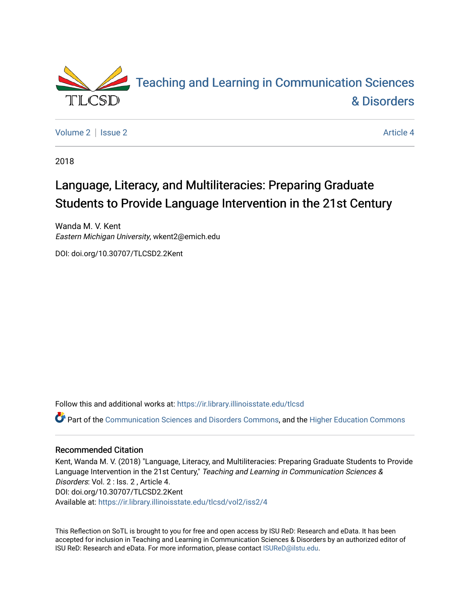

[Volume 2](https://ir.library.illinoisstate.edu/tlcsd/vol2) | [Issue 2](https://ir.library.illinoisstate.edu/tlcsd/vol2/iss2) Article 4

2018

# Language, Literacy, and Multiliteracies: Preparing Graduate Students to Provide Language Intervention in the 21st Century

Wanda M. V. Kent Eastern Michigan University, wkent2@emich.edu

DOI: doi.org/10.30707/TLCSD2.2Kent

Follow this and additional works at: [https://ir.library.illinoisstate.edu/tlcsd](https://ir.library.illinoisstate.edu/tlcsd?utm_source=ir.library.illinoisstate.edu%2Ftlcsd%2Fvol2%2Fiss2%2F4&utm_medium=PDF&utm_campaign=PDFCoverPages)

Part of the [Communication Sciences and Disorders Commons](http://network.bepress.com/hgg/discipline/1019?utm_source=ir.library.illinoisstate.edu%2Ftlcsd%2Fvol2%2Fiss2%2F4&utm_medium=PDF&utm_campaign=PDFCoverPages), and the [Higher Education Commons](http://network.bepress.com/hgg/discipline/1245?utm_source=ir.library.illinoisstate.edu%2Ftlcsd%2Fvol2%2Fiss2%2F4&utm_medium=PDF&utm_campaign=PDFCoverPages)

#### Recommended Citation

Kent, Wanda M. V. (2018) "Language, Literacy, and Multiliteracies: Preparing Graduate Students to Provide Language Intervention in the 21st Century," Teaching and Learning in Communication Sciences & Disorders: Vol. 2 : Iss. 2 , Article 4. DOI: doi.org/10.30707/TLCSD2.2Kent Available at: [https://ir.library.illinoisstate.edu/tlcsd/vol2/iss2/4](https://ir.library.illinoisstate.edu/tlcsd/vol2/iss2/4?utm_source=ir.library.illinoisstate.edu%2Ftlcsd%2Fvol2%2Fiss2%2F4&utm_medium=PDF&utm_campaign=PDFCoverPages) 

This Reflection on SoTL is brought to you for free and open access by ISU ReD: Research and eData. It has been accepted for inclusion in Teaching and Learning in Communication Sciences & Disorders by an authorized editor of ISU ReD: Research and eData. For more information, please contact [ISUReD@ilstu.edu.](mailto:ISUReD@ilstu.edu)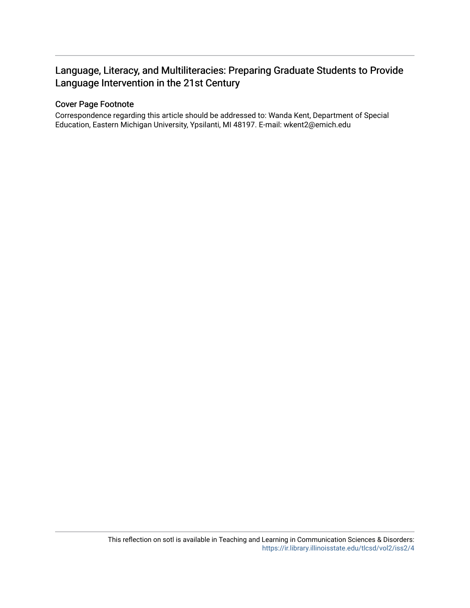## Language, Literacy, and Multiliteracies: Preparing Graduate Students to Provide Language Intervention in the 21st Century

#### Cover Page Footnote

Correspondence regarding this article should be addressed to: Wanda Kent, Department of Special Education, Eastern Michigan University, Ypsilanti, MI 48197. E-mail: wkent2@emich.edu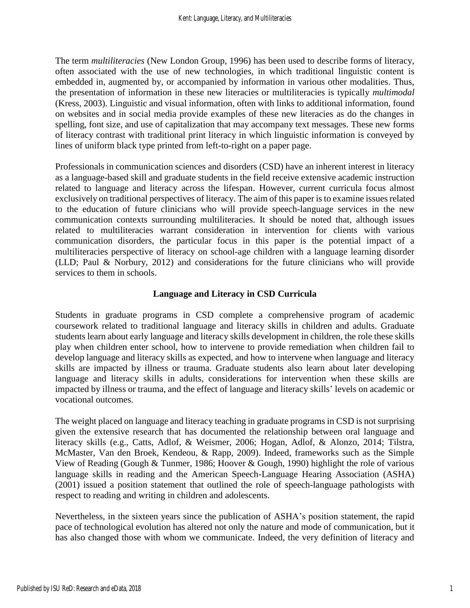The term *multiliteracies* (New London Group, 1996) has been used to describe forms of literacy, often associated with the use of new technologies, in which traditional linguistic content is embedded in, augmented by, or accompanied by information in various other modalities. Thus, the presentation of information in these new literacies or multiliteracies is typically *multimodal* (Kress, 2003). Linguistic and visual information, often with links to additional information, found on websites and in social media provide examples of these new literacies as do the changes in spelling, font size, and use of capitalization that may accompany text messages. These new forms of literacy contrast with traditional print literacy in which linguistic information is conveyed by lines of uniform black type printed from left-to-right on a paper page.

Professionals in communication sciences and disorders (CSD) have an inherent interest in literacy as a language-based skill and graduate students in the field receive extensive academic instruction related to language and literacy across the lifespan. However, current curricula focus almost exclusively on traditional perspectives of literacy. The aim of this paper is to examine issues related to the education of future clinicians who will provide speech-language services in the new communication contexts surrounding multiliteracies. It should be noted that, although issues related to multiliteracies warrant consideration in intervention for clients with various communication disorders, the particular focus in this paper is the potential impact of a multiliteracies perspective of literacy on school-age children with a language learning disorder (LLD; Paul & Norbury, 2012) and considerations for the future clinicians who will provide services to them in schools.

#### **Language and Literacy in CSD Curricula**

Students in graduate programs in CSD complete a comprehensive program of academic coursework related to traditional language and literacy skills in children and adults. Graduate students learn about early language and literacy skills development in children, the role these skills play when children enter school, how to intervene to provide remediation when children fail to develop language and literacy skills as expected, and how to intervene when language and literacy skills are impacted by illness or trauma. Graduate students also learn about later developing language and literacy skills in adults, considerations for intervention when these skills are impacted by illness or trauma, and the effect of language and literacy skills' levels on academic or vocational outcomes.

The weight placed on language and literacy teaching in graduate programs in CSD is not surprising given the extensive research that has documented the relationship between oral language and literacy skills (e.g., Catts, Adlof, & Weismer, 2006; Hogan, Adlof, & Alonzo, 2014; Tilstra, McMaster, Van den Broek, Kendeou, & Rapp, 2009). Indeed, frameworks such as the Simple View of Reading (Gough & Tunmer, 1986; Hoover & Gough, 1990) highlight the role of various language skills in reading and the American Speech-Language Hearing Association (ASHA) (2001) issued a position statement that outlined the role of speech-language pathologists with respect to reading and writing in children and adolescents.

Nevertheless, in the sixteen years since the publication of ASHA's position statement, the rapid pace of technological evolution has altered not only the nature and mode of communication, but it has also changed those with whom we communicate. Indeed, the very definition of literacy and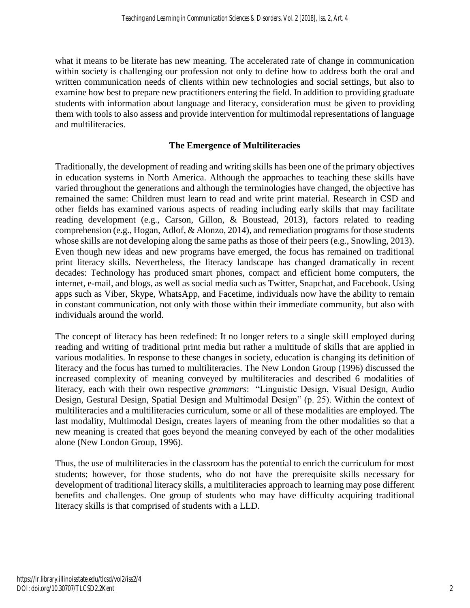what it means to be literate has new meaning. The accelerated rate of change in communication within society is challenging our profession not only to define how to address both the oral and written communication needs of clients within new technologies and social settings, but also to examine how best to prepare new practitioners entering the field. In addition to providing graduate students with information about language and literacy, consideration must be given to providing them with tools to also assess and provide intervention for multimodal representations of language and multiliteracies.

#### **The Emergence of Multiliteracies**

Traditionally, the development of reading and writing skills has been one of the primary objectives in education systems in North America. Although the approaches to teaching these skills have varied throughout the generations and although the terminologies have changed, the objective has remained the same: Children must learn to read and write print material. Research in CSD and other fields has examined various aspects of reading including early skills that may facilitate reading development (e.g., Carson, Gillon, & Boustead, 2013), factors related to reading comprehension (e.g., Hogan, Adlof, & Alonzo, 2014), and remediation programs for those students whose skills are not developing along the same paths as those of their peers (e.g., Snowling, 2013). Even though new ideas and new programs have emerged, the focus has remained on traditional print literacy skills. Nevertheless, the literacy landscape has changed dramatically in recent decades: Technology has produced smart phones, compact and efficient home computers, the internet, e-mail, and blogs, as well as social media such as Twitter, Snapchat, and Facebook. Using apps such as Viber, Skype, WhatsApp, and Facetime, individuals now have the ability to remain in constant communication, not only with those within their immediate community, but also with individuals around the world.

The concept of literacy has been redefined: It no longer refers to a single skill employed during reading and writing of traditional print media but rather a multitude of skills that are applied in various modalities. In response to these changes in society, education is changing its definition of literacy and the focus has turned to multiliteracies. The New London Group (1996) discussed the increased complexity of meaning conveyed by multiliteracies and described 6 modalities of literacy, each with their own respective *grammars*: "Linguistic Design, Visual Design, Audio Design, Gestural Design, Spatial Design and Multimodal Design" (p. 25). Within the context of multiliteracies and a multiliteracies curriculum, some or all of these modalities are employed. The last modality, Multimodal Design, creates layers of meaning from the other modalities so that a new meaning is created that goes beyond the meaning conveyed by each of the other modalities alone (New London Group, 1996).

Thus, the use of multiliteracies in the classroom has the potential to enrich the curriculum for most students; however, for those students, who do not have the prerequisite skills necessary for development of traditional literacy skills, a multiliteracies approach to learning may pose different benefits and challenges. One group of students who may have difficulty acquiring traditional literacy skills is that comprised of students with a LLD.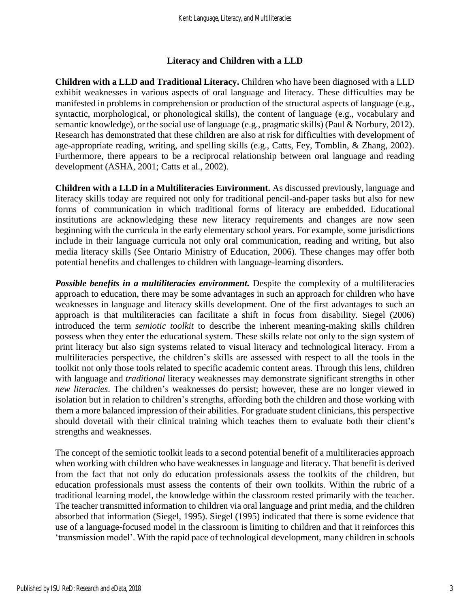#### **Literacy and Children with a LLD**

**Children with a LLD and Traditional Literacy.** Children who have been diagnosed with a LLD exhibit weaknesses in various aspects of oral language and literacy. These difficulties may be manifested in problems in comprehension or production of the structural aspects of language (e.g., syntactic, morphological, or phonological skills), the content of language (e.g., vocabulary and semantic knowledge), or the social use of language (e.g., pragmatic skills) (Paul & Norbury, 2012). Research has demonstrated that these children are also at risk for difficulties with development of age-appropriate reading, writing, and spelling skills (e.g., Catts, Fey, Tomblin, & Zhang, 2002). Furthermore, there appears to be a reciprocal relationship between oral language and reading development (ASHA, 2001; Catts et al., 2002).

**Children with a LLD in a Multiliteracies Environment.** As discussed previously, language and literacy skills today are required not only for traditional pencil-and-paper tasks but also for new forms of communication in which traditional forms of literacy are embedded. Educational institutions are acknowledging these new literacy requirements and changes are now seen beginning with the curricula in the early elementary school years. For example, some jurisdictions include in their language curricula not only oral communication, reading and writing, but also media literacy skills (See Ontario Ministry of Education, 2006). These changes may offer both potential benefits and challenges to children with language-learning disorders.

*Possible benefits in a multiliteracies environment.* Despite the complexity of a multiliteracies approach to education, there may be some advantages in such an approach for children who have weaknesses in language and literacy skills development. One of the first advantages to such an approach is that multiliteracies can facilitate a shift in focus from disability. Siegel (2006) introduced the term *semiotic toolkit* to describe the inherent meaning-making skills children possess when they enter the educational system. These skills relate not only to the sign system of print literacy but also sign systems related to visual literacy and technological literacy. From a multiliteracies perspective, the children's skills are assessed with respect to all the tools in the toolkit not only those tools related to specific academic content areas. Through this lens, children with language and *traditional* literacy weaknesses may demonstrate significant strengths in other *new literacies*. The children's weaknesses do persist; however, these are no longer viewed in isolation but in relation to children's strengths, affording both the children and those working with them a more balanced impression of their abilities. For graduate student clinicians, this perspective should dovetail with their clinical training which teaches them to evaluate both their client's strengths and weaknesses.

The concept of the semiotic toolkit leads to a second potential benefit of a multiliteracies approach when working with children who have weaknesses in language and literacy. That benefit is derived from the fact that not only do education professionals assess the toolkits of the children, but education professionals must assess the contents of their own toolkits. Within the rubric of a traditional learning model, the knowledge within the classroom rested primarily with the teacher. The teacher transmitted information to children via oral language and print media, and the children absorbed that information (Siegel, 1995). Siegel (1995) indicated that there is some evidence that use of a language-focused model in the classroom is limiting to children and that it reinforces this 'transmission model'. With the rapid pace of technological development, many children in schools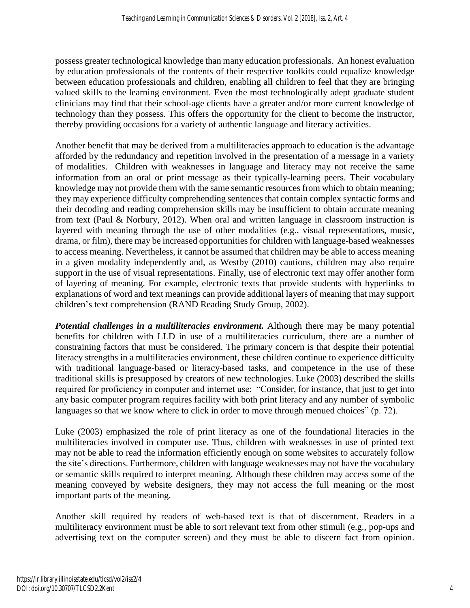possess greater technological knowledge than many education professionals. An honest evaluation by education professionals of the contents of their respective toolkits could equalize knowledge between education professionals and children, enabling all children to feel that they are bringing valued skills to the learning environment. Even the most technologically adept graduate student clinicians may find that their school-age clients have a greater and/or more current knowledge of technology than they possess. This offers the opportunity for the client to become the instructor, thereby providing occasions for a variety of authentic language and literacy activities.

Another benefit that may be derived from a multiliteracies approach to education is the advantage afforded by the redundancy and repetition involved in the presentation of a message in a variety of modalities. Children with weaknesses in language and literacy may not receive the same information from an oral or print message as their typically-learning peers. Their vocabulary knowledge may not provide them with the same semantic resources from which to obtain meaning; they may experience difficulty comprehending sentences that contain complex syntactic forms and their decoding and reading comprehension skills may be insufficient to obtain accurate meaning from text (Paul & Norbury, 2012). When oral and written language in classroom instruction is layered with meaning through the use of other modalities (e.g., visual representations, music, drama, or film), there may be increased opportunities for children with language-based weaknesses to access meaning. Nevertheless, it cannot be assumed that children may be able to access meaning in a given modality independently and, as Westby (2010) cautions, children may also require support in the use of visual representations. Finally, use of electronic text may offer another form of layering of meaning. For example, electronic texts that provide students with hyperlinks to explanations of word and text meanings can provide additional layers of meaning that may support children's text comprehension (RAND Reading Study Group, 2002).

*Potential challenges in a multiliteracies environment.* Although there may be many potential benefits for children with LLD in use of a multiliteracies curriculum, there are a number of constraining factors that must be considered. The primary concern is that despite their potential literacy strengths in a multiliteracies environment, these children continue to experience difficulty with traditional language-based or literacy-based tasks, and competence in the use of these traditional skills is presupposed by creators of new technologies. Luke (2003) described the skills required for proficiency in computer and internet use: "Consider, for instance, that just to get into any basic computer program requires facility with both print literacy and any number of symbolic languages so that we know where to click in order to move through menued choices" (p. 72).

Luke (2003) emphasized the role of print literacy as one of the foundational literacies in the multiliteracies involved in computer use. Thus, children with weaknesses in use of printed text may not be able to read the information efficiently enough on some websites to accurately follow the site's directions. Furthermore, children with language weaknesses may not have the vocabulary or semantic skills required to interpret meaning. Although these children may access some of the meaning conveyed by website designers, they may not access the full meaning or the most important parts of the meaning.

Another skill required by readers of web-based text is that of discernment. Readers in a multiliteracy environment must be able to sort relevant text from other stimuli (e.g., pop-ups and advertising text on the computer screen) and they must be able to discern fact from opinion.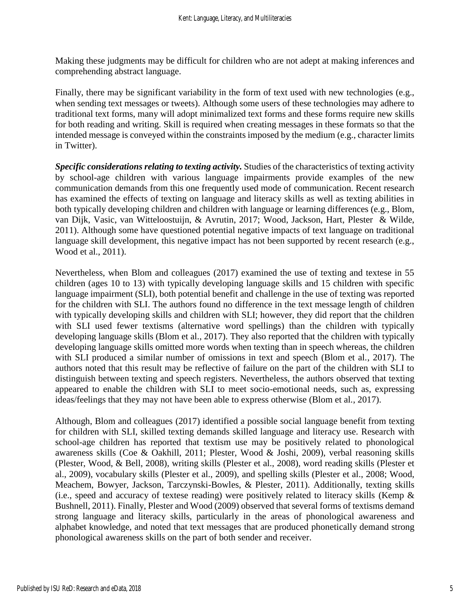Making these judgments may be difficult for children who are not adept at making inferences and comprehending abstract language.

Finally, there may be significant variability in the form of text used with new technologies (e.g., when sending text messages or tweets). Although some users of these technologies may adhere to traditional text forms, many will adopt minimalized text forms and these forms require new skills for both reading and writing. Skill is required when creating messages in these formats so that the intended message is conveyed within the constraints imposed by the medium (e.g., character limits in Twitter).

*Specific considerations relating to texting activity.* Studies of the characteristics of texting activity by school-age children with various language impairments provide examples of the new communication demands from this one frequently used mode of communication. Recent research has examined the effects of texting on language and literacy skills as well as texting abilities in both typically developing children and children with language or learning differences (e.g., Blom, van Dijk, Vasic, van Witteloostuijn, & Avrutin, 2017; Wood, Jackson, Hart, Plester & Wilde, 2011). Although some have questioned potential negative impacts of text language on traditional language skill development, this negative impact has not been supported by recent research (e.g., Wood et al., 2011).

Nevertheless, when Blom and colleagues (2017) examined the use of texting and textese in 55 children (ages 10 to 13) with typically developing language skills and 15 children with specific language impairment (SLI), both potential benefit and challenge in the use of texting was reported for the children with SLI. The authors found no difference in the text message length of children with typically developing skills and children with SLI; however, they did report that the children with SLI used fewer textisms (alternative word spellings) than the children with typically developing language skills (Blom et al., 2017). They also reported that the children with typically developing language skills omitted more words when texting than in speech whereas, the children with SLI produced a similar number of omissions in text and speech (Blom et al., 2017). The authors noted that this result may be reflective of failure on the part of the children with SLI to distinguish between texting and speech registers. Nevertheless, the authors observed that texting appeared to enable the children with SLI to meet socio-emotional needs, such as, expressing ideas/feelings that they may not have been able to express otherwise (Blom et al., 2017).

Although, Blom and colleagues (2017) identified a possible social language benefit from texting for children with SLI, skilled texting demands skilled language and literacy use. Research with school-age children has reported that textism use may be positively related to phonological awareness skills (Coe & Oakhill, 2011; Plester, Wood & Joshi, 2009), verbal reasoning skills (Plester, Wood, & Bell, 2008), writing skills (Plester et al., 2008), word reading skills (Plester et al., 2009), vocabulary skills (Plester et al., 2009), and spelling skills (Plester et al., 2008; Wood, Meachem, Bowyer, Jackson, Tarczynski-Bowles, & Plester, 2011). Additionally, texting skills (i.e., speed and accuracy of textese reading) were positively related to literacy skills (Kemp & Bushnell, 2011). Finally, Plester and Wood (2009) observed that several forms of textisms demand strong language and literacy skills, particularly in the areas of phonological awareness and alphabet knowledge, and noted that text messages that are produced phonetically demand strong phonological awareness skills on the part of both sender and receiver.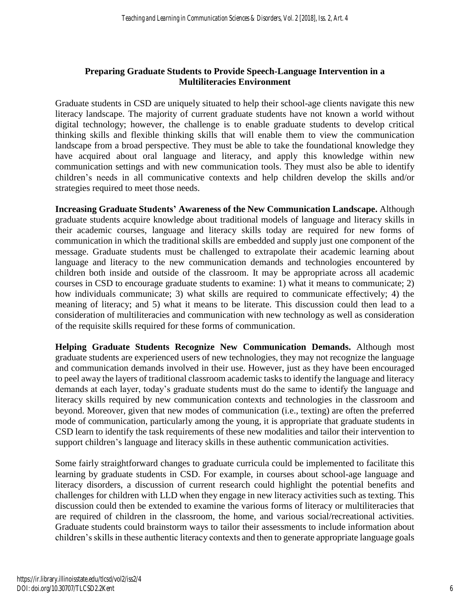### **Preparing Graduate Students to Provide Speech-Language Intervention in a Multiliteracies Environment**

Graduate students in CSD are uniquely situated to help their school-age clients navigate this new literacy landscape. The majority of current graduate students have not known a world without digital technology; however, the challenge is to enable graduate students to develop critical thinking skills and flexible thinking skills that will enable them to view the communication landscape from a broad perspective. They must be able to take the foundational knowledge they have acquired about oral language and literacy, and apply this knowledge within new communication settings and with new communication tools. They must also be able to identify children's needs in all communicative contexts and help children develop the skills and/or strategies required to meet those needs.

**Increasing Graduate Students' Awareness of the New Communication Landscape.** Although graduate students acquire knowledge about traditional models of language and literacy skills in their academic courses, language and literacy skills today are required for new forms of communication in which the traditional skills are embedded and supply just one component of the message. Graduate students must be challenged to extrapolate their academic learning about language and literacy to the new communication demands and technologies encountered by children both inside and outside of the classroom. It may be appropriate across all academic courses in CSD to encourage graduate students to examine: 1) what it means to communicate; 2) how individuals communicate; 3) what skills are required to communicate effectively; 4) the meaning of literacy; and 5) what it means to be literate. This discussion could then lead to a consideration of multiliteracies and communication with new technology as well as consideration of the requisite skills required for these forms of communication.

**Helping Graduate Students Recognize New Communication Demands.** Although most graduate students are experienced users of new technologies, they may not recognize the language and communication demands involved in their use. However, just as they have been encouraged to peel away the layers of traditional classroom academic tasks to identify the language and literacy demands at each layer, today's graduate students must do the same to identify the language and literacy skills required by new communication contexts and technologies in the classroom and beyond. Moreover, given that new modes of communication (i.e., texting) are often the preferred mode of communication, particularly among the young, it is appropriate that graduate students in CSD learn to identify the task requirements of these new modalities and tailor their intervention to support children's language and literacy skills in these authentic communication activities.

Some fairly straightforward changes to graduate curricula could be implemented to facilitate this learning by graduate students in CSD. For example, in courses about school-age language and literacy disorders, a discussion of current research could highlight the potential benefits and challenges for children with LLD when they engage in new literacy activities such as texting. This discussion could then be extended to examine the various forms of literacy or multiliteracies that are required of children in the classroom, the home, and various social/recreational activities. Graduate students could brainstorm ways to tailor their assessments to include information about children's skills in these authentic literacy contexts and then to generate appropriate language goals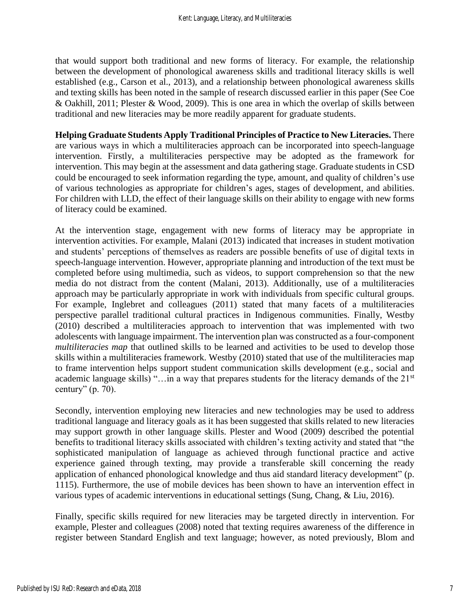that would support both traditional and new forms of literacy. For example, the relationship between the development of phonological awareness skills and traditional literacy skills is well established (e.g., Carson et al., 2013), and a relationship between phonological awareness skills and texting skills has been noted in the sample of research discussed earlier in this paper (See Coe & Oakhill, 2011; Plester & Wood, 2009). This is one area in which the overlap of skills between traditional and new literacies may be more readily apparent for graduate students.

**Helping Graduate Students Apply Traditional Principles of Practice to New Literacies.** There are various ways in which a multiliteracies approach can be incorporated into speech-language intervention. Firstly, a multiliteracies perspective may be adopted as the framework for intervention. This may begin at the assessment and data gathering stage. Graduate students in CSD could be encouraged to seek information regarding the type, amount, and quality of children's use of various technologies as appropriate for children's ages, stages of development, and abilities. For children with LLD, the effect of their language skills on their ability to engage with new forms of literacy could be examined.

At the intervention stage, engagement with new forms of literacy may be appropriate in intervention activities. For example, Malani (2013) indicated that increases in student motivation and students' perceptions of themselves as readers are possible benefits of use of digital texts in speech-language intervention. However, appropriate planning and introduction of the text must be completed before using multimedia, such as videos, to support comprehension so that the new media do not distract from the content (Malani, 2013). Additionally, use of a multiliteracies approach may be particularly appropriate in work with individuals from specific cultural groups. For example, Inglebret and colleagues (2011) stated that many facets of a multiliteracies perspective parallel traditional cultural practices in Indigenous communities. Finally, Westby (2010) described a multiliteracies approach to intervention that was implemented with two adolescents with language impairment. The intervention plan was constructed as a four-component *multiliteracies map* that outlined skills to be learned and activities to be used to develop those skills within a multiliteracies framework. Westby (2010) stated that use of the multiliteracies map to frame intervention helps support student communication skills development (e.g., social and academic language skills) "...in a way that prepares students for the literacy demands of the 21<sup>st</sup> century" (p. 70).

Secondly, intervention employing new literacies and new technologies may be used to address traditional language and literacy goals as it has been suggested that skills related to new literacies may support growth in other language skills. Plester and Wood (2009) described the potential benefits to traditional literacy skills associated with children's texting activity and stated that "the sophisticated manipulation of language as achieved through functional practice and active experience gained through texting, may provide a transferable skill concerning the ready application of enhanced phonological knowledge and thus aid standard literacy development" (p. 1115). Furthermore, the use of mobile devices has been shown to have an intervention effect in various types of academic interventions in educational settings (Sung, Chang, & Liu, 2016).

Finally, specific skills required for new literacies may be targeted directly in intervention. For example, Plester and colleagues (2008) noted that texting requires awareness of the difference in register between Standard English and text language; however, as noted previously, Blom and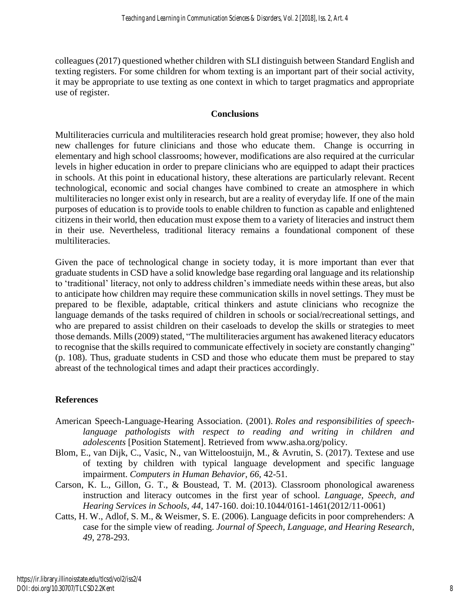colleagues (2017) questioned whether children with SLI distinguish between Standard English and texting registers. For some children for whom texting is an important part of their social activity, it may be appropriate to use texting as one context in which to target pragmatics and appropriate use of register.

#### **Conclusions**

Multiliteracies curricula and multiliteracies research hold great promise; however, they also hold new challenges for future clinicians and those who educate them. Change is occurring in elementary and high school classrooms; however, modifications are also required at the curricular levels in higher education in order to prepare clinicians who are equipped to adapt their practices in schools. At this point in educational history, these alterations are particularly relevant. Recent technological, economic and social changes have combined to create an atmosphere in which multiliteracies no longer exist only in research, but are a reality of everyday life. If one of the main purposes of education is to provide tools to enable children to function as capable and enlightened citizens in their world, then education must expose them to a variety of literacies and instruct them in their use. Nevertheless, traditional literacy remains a foundational component of these multiliteracies.

Given the pace of technological change in society today, it is more important than ever that graduate students in CSD have a solid knowledge base regarding oral language and its relationship to 'traditional' literacy, not only to address children's immediate needs within these areas, but also to anticipate how children may require these communication skills in novel settings. They must be prepared to be flexible, adaptable, critical thinkers and astute clinicians who recognize the language demands of the tasks required of children in schools or social/recreational settings, and who are prepared to assist children on their caseloads to develop the skills or strategies to meet those demands. Mills (2009) stated, "The multiliteracies argument has awakened literacy educators to recognise that the skills required to communicate effectively in society are constantly changing" (p. 108). Thus, graduate students in CSD and those who educate them must be prepared to stay abreast of the technological times and adapt their practices accordingly.

#### **References**

- American Speech-Language-Hearing Association. (2001). *Roles and responsibilities of speechlanguage pathologists with respect to reading and writing in children and adolescents* [Position Statement]. Retrieved from www.asha.org/policy.
- Blom, E., van Dijk, C., Vasic, N., van Witteloostuijn, M., & Avrutin, S. (2017). Textese and use of texting by children with typical language development and specific language impairment. *Computers in Human Behavior*, *66*, 42-51.
- Carson, K. L., Gillon, G. T., & Boustead, T. M. (2013). Classroom phonological awareness instruction and literacy outcomes in the first year of school. *Language, Speech, and Hearing Services in Schools*, *44*, 147-160. doi:10.1044/0161-1461(2012/11-0061)
- Catts, H. W., Adlof, S. M., & Weismer, S. E. (2006). Language deficits in poor comprehenders: A case for the simple view of reading. *Journal of Speech, Language, and Hearing Research*, *49*, 278-293.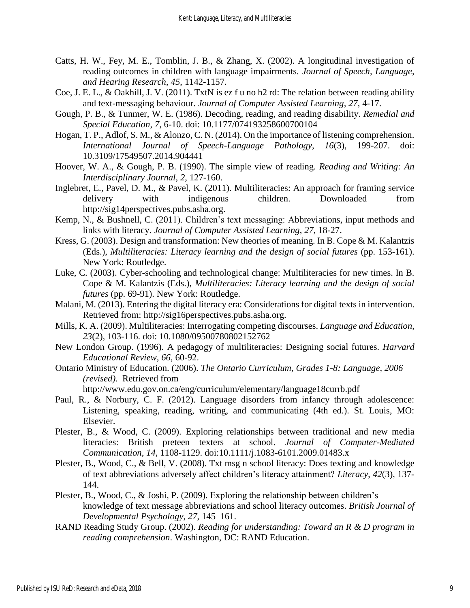- Catts, H. W., Fey, M. E., Tomblin, J. B., & Zhang, X. (2002). A longitudinal investigation of reading outcomes in children with language impairments. *Journal of Speech, Language, and Hearing Research*, *45*, 1142-1157.
- Coe, J. E. L., & Oakhill, J. V. (2011). TxtN is ez f u no h2 rd: The relation between reading ability and text-messaging behaviour. *Journal of Computer Assisted Learning*, 27, 4-17.
- Gough, P. B., & Tunmer, W. E. (1986). Decoding, reading, and reading disability. *Remedial and Special Education*, *7*, 6-10. doi: 10.1177/074193258600700104
- Hogan, T. P., Adlof, S. M., & Alonzo, C. N. (2014). On the importance of listening comprehension. *International Journal of Speech-Language Pathology*, *16*(3), 199-207. doi: 10.3109/17549507.2014.904441
- Hoover, W. A., & Gough, P. B. (1990). The simple view of reading. *Reading and Writing: An Interdisciplinary Journal*, *2*, 127-160.
- Inglebret, E., Pavel, D. M., & Pavel, K. (2011). Multiliteracies: An approach for framing service delivery with indigenous children. Downloaded from http://sig14perspectives.pubs.asha.org.
- Kemp, N., & Bushnell, C. (2011). Children's text messaging: Abbreviations, input methods and links with literacy. *Journal of Computer Assisted Learning*, *27*, 18-27.
- Kress, G. (2003). Design and transformation: New theories of meaning. In B. Cope & M. Kalantzis (Eds.), *Multiliteracies: Literacy learning and the design of social futures* (pp. 153-161). New York: Routledge.
- Luke, C. (2003). Cyber-schooling and technological change: Multiliteracies for new times. In B. Cope & M. Kalantzis (Eds.), *Multiliteracies: Literacy learning and the design of social futures* (pp. 69-91). New York: Routledge.
- Malani, M. (2013). Entering the digital literacy era: Considerations for digital texts in intervention. Retrieved from: http://sig16perspectives.pubs.asha.org.
- Mills, K. A. (2009). Multiliteracies: Interrogating competing discourses. *Language and Education*, *23*(2), 103-116. doi: 10.1080/09500780802152762
- New London Group. (1996). A pedagogy of multiliteracies: Designing social futures. *Harvard Educational Review*, *66*, 60-92.
- Ontario Ministry of Education. (2006). *The Ontario Curriculum, Grades 1-8: Language, 2006 (revised)*. Retrieved from
	- <http://www.edu.gov.on.ca/eng/curriculum/elementary/language18currb.pdf>
- Paul, R., & Norbury, C. F. (2012). Language disorders from infancy through adolescence: Listening, speaking, reading, writing, and communicating (4th ed.). St. Louis, MO: Elsevier.
- Plester, B., & Wood, C. (2009). Exploring relationships between traditional and new media literacies: British preteen texters at school. *Journal of Computer-Mediated Communication*, *14*, 1108-1129. doi:10.1111/j.1083-6101.2009.01483.x
- Plester, B., Wood, C., & Bell, V. (2008). Txt msg n school literacy: Does texting and knowledge of text abbreviations adversely affect children's literacy attainment? *Literacy*, *42*(3), 137- 144.
- Plester, B., Wood, C., & Joshi, P. (2009). Exploring the relationship between children's knowledge of text message abbreviations and school literacy outcomes. *British Journal of Developmental Psychology*, *27*, 145–161.
- RAND Reading Study Group. (2002). *Reading for understanding: Toward an R & D program in reading comprehension*. Washington, DC: RAND Education.